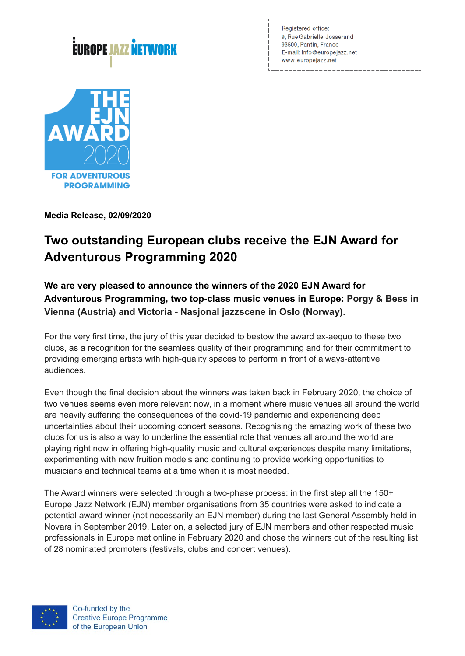# .<br>EUROPE JAZZ NETWORK

Registered office: 9, Rue Gabrielle Josserand 93500, Pantin, France E-mail: info@europejazz.net www.europejazz.net



**Media Release, 02/09/2020** 

# **Two outstanding European clubs receive the EJN Award for Adventurous Programming 2020**

**We are very pleased to announce the winners of the 2020 EJN Award for Adventurous Programming, two top-class music venues in Europe: Porgy & Bess in Vienna (Austria) and Victoria - Nasjonal jazzscene in Oslo (Norway).**

For the very first time, the jury of this year decided to bestow the award ex-aequo to these two clubs, as a recognition for the seamless quality of their programming and for their commitment to providing emerging artists with high-quality spaces to perform in front of always-attentive audiences.

Even though the final decision about the winners was taken back in February 2020, the choice of two venues seems even more relevant now, in a moment where music venues all around the world are heavily suffering the consequences of the covid-19 pandemic and experiencing deep uncertainties about their upcoming concert seasons. Recognising the amazing work of these two clubs for us is also a way to underline the essential role that venues all around the world are playing right now in offering high-quality music and cultural experiences despite many limitations, experimenting with new fruition models and continuing to provide working opportunities to musicians and technical teams at a time when it is most needed.

The Award winners were selected through a two-phase process: in the first step all the 150+ Europe Jazz Network (EJN) member organisations from 35 countries were asked to indicate a potential award winner (not necessarily an EJN member) during the last General Assembly held in Novara in September 2019. Later on, a selected jury of EJN members and other respected music professionals in Europe met online in February 2020 and chose the winners out of the resulting list of 28 nominated promoters (festivals, clubs and concert venues).

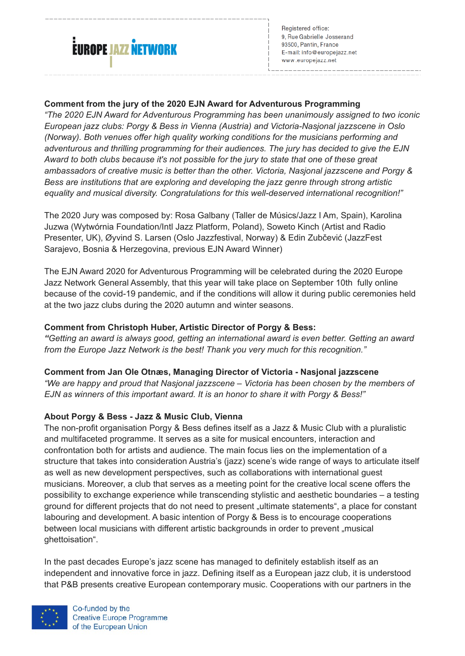

Registered office: 9, Rue Gabrielle Josserand 93500, Pantin, France E-mail: info@europeiazz.net www.europejazz.net

## **Comment from the jury of the 2020 EJN Award for Adventurous Programming**

*"The 2020 EJN Award for Adventurous Programming has been unanimously assigned to two iconic European jazz clubs: Porgy & Bess in Vienna (Austria) and Victoria-Nasjonal jazzscene in Oslo (Norway). Both venues offer high quality working conditions for the musicians performing and adventurous and thrilling programming for their audiences. The jury has decided to give the EJN Award to both clubs because it's not possible for the jury to state that one of these great ambassadors of creative music is better than the other. Victoria, Nasjonal jazzscene and Porgy & Bess are institutions that are exploring and developing the jazz genre through strong artistic equality and musical diversity. Congratulations for this well-deserved international recognition!"*

The 2020 Jury was composed by: Rosa Galbany (Taller de Músics/Jazz I Am, Spain), Karolina Juzwa (Wytwórnia Foundation/Intl Jazz Platform, Poland), Soweto Kinch (Artist and Radio Presenter, UK), Øyvind S. Larsen (Oslo Jazzfestival, Norway) & Edin Zubčević (JazzFest Sarajevo, Bosnia & Herzegovina, previous EJN Award Winner)

The EJN Award 2020 for Adventurous Programming will be celebrated during the 2020 Europe Jazz Network General Assembly, that this year will take place on September 10th fully online because of the covid-19 pandemic, and if the conditions will allow it during public ceremonies held at the two jazz clubs during the 2020 autumn and winter seasons.

#### **Comment from Christoph Huber, Artistic Director of Porgy & Bess:**

*"Getting an award is always good, getting an international award is even better. Getting an award from the Europe Jazz Network is the best! Thank you very much for this recognition."*

#### **Comment from Jan Ole Otnæs, Managing Director of Victoria - Nasjonal jazzscene**

*"We are happy and proud that Nasjonal jazzscene – Victoria has been chosen by the members of EJN as winners of this important award. It is an honor to share it with Porgy & Bess!"*

#### **About Porgy & Bess - Jazz & Music Club, Vienna**

The non-profit organisation Porgy & Bess defines itself as a Jazz & Music Club with a pluralistic and multifaceted programme. It serves as a site for musical encounters, interaction and confrontation both for artists and audience. The main focus lies on the implementation of a structure that takes into consideration Austria's (jazz) scene's wide range of ways to articulate itself as well as new development perspectives, such as collaborations with international guest musicians. Moreover, a club that serves as a meeting point for the creative local scene offers the possibility to exchange experience while transcending stylistic and aesthetic boundaries – a testing ground for different projects that do not need to present "ultimate statements", a place for constant labouring and development. A basic intention of Porgy & Bess is to encourage cooperations between local musicians with different artistic backgrounds in order to prevent "musical ghettoisation".

In the past decades Europe's jazz scene has managed to definitely establish itself as an independent and innovative force in jazz. Defining itself as a European jazz club, it is understood that P&B presents creative European contemporary music. Cooperations with our partners in the

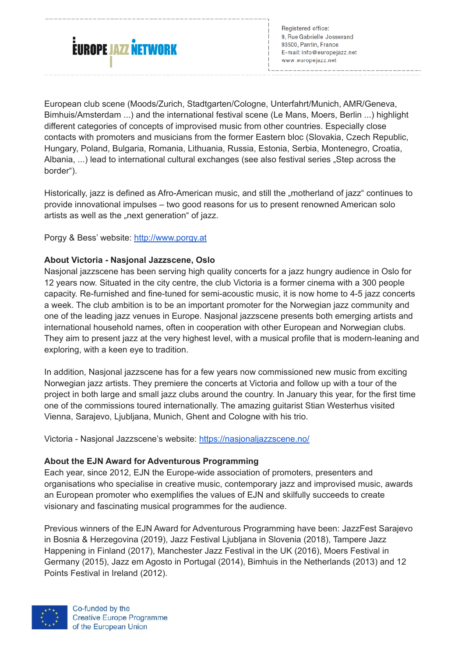

Registered office: 9, Rue Gabrielle Josserand 93500, Pantin, France E-mail: info@europeiazz.net www.europejazz.net

European club scene (Moods/Zurich, Stadtgarten/Cologne, Unterfahrt/Munich, AMR/Geneva, Bimhuis/Amsterdam ...) and the international festival scene (Le Mans, Moers, Berlin ...) highlight different categories of concepts of improvised music from other countries. Especially close contacts with promoters and musicians from the former Eastern bloc (Slovakia, Czech Republic, Hungary, Poland, Bulgaria, Romania, Lithuania, Russia, Estonia, Serbia, Montenegro, Croatia, Albania, ...) lead to international cultural exchanges (see also festival series "Step across the border").

Historically, jazz is defined as Afro-American music, and still the "motherland of jazz" continues to provide innovational impulses – two good reasons for us to present renowned American solo artists as well as the "next generation" of jazz.

Porgy & Bess' website: [http://www.porgy.at](http://www.porgy.at/)

#### **About Victoria - Nasjonal Jazzscene, Oslo**

Nasjonal jazzscene has been serving high quality concerts for a jazz hungry audience in Oslo for 12 years now. Situated in the city centre, the club Victoria is a former cinema with a 300 people capacity. Re-furnished and fine-tuned for semi-acoustic music, it is now home to 4-5 jazz concerts a week. The club ambition is to be an important promoter for the Norwegian jazz community and one of the leading jazz venues in Europe. Nasjonal jazzscene presents both emerging artists and international household names, often in cooperation with other European and Norwegian clubs. They aim to present jazz at the very highest level, with a musical profile that is modern-leaning and exploring, with a keen eye to tradition.

In addition, Nasjonal jazzscene has for a few years now commissioned new music from exciting Norwegian jazz artists. They premiere the concerts at Victoria and follow up with a tour of the project in both large and small jazz clubs around the country. In January this year, for the first time one of the commissions toured internationally. The amazing guitarist Stian Westerhus visited Vienna, Sarajevo, Ljubljana, Munich, Ghent and Cologne with his trio.

Victoria - Nasjonal Jazzscene's website:<https://nasjonaljazzscene.no/>

#### **About the EJN Award for Adventurous Programming**

Each year, since 2012, EJN the Europe-wide association of promoters, presenters and organisations who specialise in creative music, contemporary jazz and improvised music, awards an European promoter who exemplifies the values of EJN and skilfully succeeds to create visionary and fascinating musical programmes for the audience.

Previous winners of the EJN Award for Adventurous Programming have been: JazzFest Sarajevo in Bosnia & Herzegovina (2019), Jazz Festival Ljubljana in Slovenia (2018), Tampere Jazz Happening in Finland (2017), Manchester Jazz Festival in the UK (2016), Moers Festival in Germany (2015), Jazz em Agosto in Portugal (2014), Bimhuis in the Netherlands (2013) and 12 Points Festival in Ireland (2012).